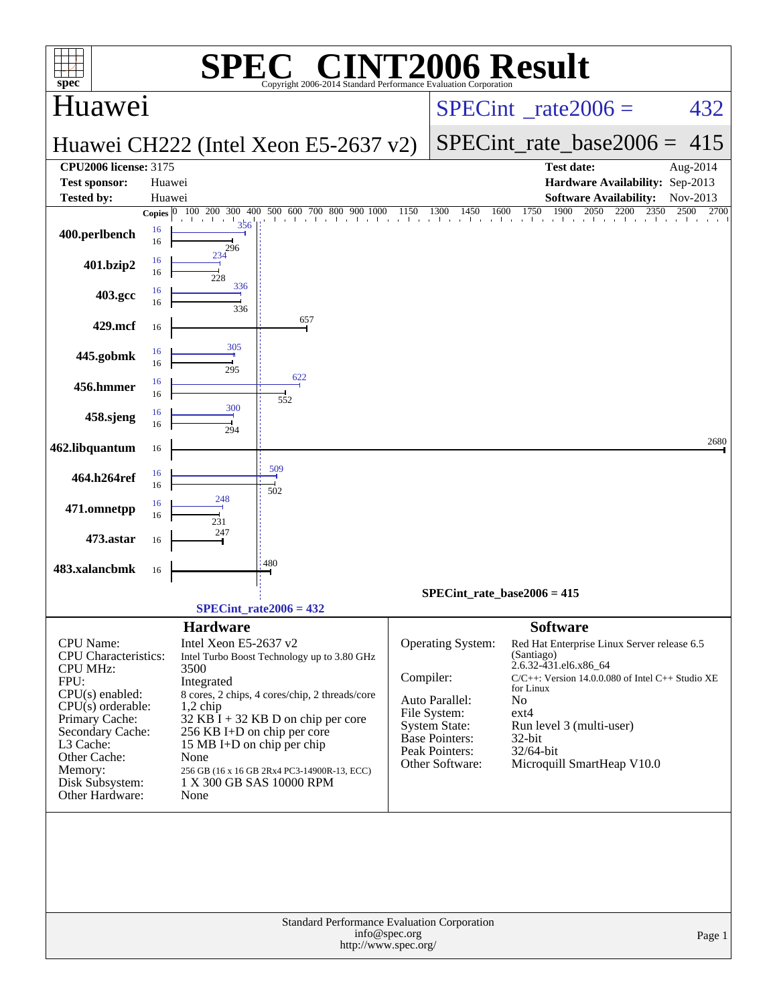| <b>T2006 Result</b><br>$\mathbf{P}(\mathbf{R})$<br>$spec^*$<br>Copyright 2006-2014 Standard Performance Evaluation Corporation                                                                                                      |                                                                                                                                                                                                                                                                                                                                                                                          |                                                                                                                |                                             |                                                                                                                                                                                                                                                                                   |                      |  |  |  |  |  |
|-------------------------------------------------------------------------------------------------------------------------------------------------------------------------------------------------------------------------------------|------------------------------------------------------------------------------------------------------------------------------------------------------------------------------------------------------------------------------------------------------------------------------------------------------------------------------------------------------------------------------------------|----------------------------------------------------------------------------------------------------------------|---------------------------------------------|-----------------------------------------------------------------------------------------------------------------------------------------------------------------------------------------------------------------------------------------------------------------------------------|----------------------|--|--|--|--|--|
| Huawei                                                                                                                                                                                                                              |                                                                                                                                                                                                                                                                                                                                                                                          |                                                                                                                |                                             | $SPECint^{\circ}$ rate $2006 =$                                                                                                                                                                                                                                                   | 432                  |  |  |  |  |  |
|                                                                                                                                                                                                                                     | Huawei CH222 (Intel Xeon E5-2637 v2)                                                                                                                                                                                                                                                                                                                                                     |                                                                                                                |                                             | $SPECint$ rate base $2006 =$                                                                                                                                                                                                                                                      | 415                  |  |  |  |  |  |
| <b>CPU2006 license: 3175</b><br><b>Test sponsor:</b><br>Huawei<br><b>Tested by:</b><br>Huawei                                                                                                                                       |                                                                                                                                                                                                                                                                                                                                                                                          |                                                                                                                |                                             | <b>Test date:</b><br>Hardware Availability: Sep-2013<br><b>Software Availability:</b>                                                                                                                                                                                             | Aug-2014<br>Nov-2013 |  |  |  |  |  |
| Copies $ 0 $<br>16<br>400.perlbench<br>16                                                                                                                                                                                           | 100 200 300 400 500 600 700 800 900 1000<br>356                                                                                                                                                                                                                                                                                                                                          | 1150<br>1300                                                                                                   | 1450<br>1600                                | 1900<br>2050<br>1750<br>2200<br>2350<br>the theories the theories of a contract the context of a context of a context of a                                                                                                                                                        | 2500<br>2700         |  |  |  |  |  |
| 16<br>401.bzip2<br>16                                                                                                                                                                                                               | 296<br>234<br>228                                                                                                                                                                                                                                                                                                                                                                        |                                                                                                                |                                             |                                                                                                                                                                                                                                                                                   |                      |  |  |  |  |  |
| 16<br>403.gcc<br>16                                                                                                                                                                                                                 | 336<br>336                                                                                                                                                                                                                                                                                                                                                                               |                                                                                                                |                                             |                                                                                                                                                                                                                                                                                   |                      |  |  |  |  |  |
| 429.mcf<br>16                                                                                                                                                                                                                       | 657                                                                                                                                                                                                                                                                                                                                                                                      |                                                                                                                |                                             |                                                                                                                                                                                                                                                                                   |                      |  |  |  |  |  |
| 16<br>445.gobmk<br>16                                                                                                                                                                                                               | 305<br>295<br>622                                                                                                                                                                                                                                                                                                                                                                        |                                                                                                                |                                             |                                                                                                                                                                                                                                                                                   |                      |  |  |  |  |  |
| 16<br>456.hmmer<br>16                                                                                                                                                                                                               | 552<br>300                                                                                                                                                                                                                                                                                                                                                                               |                                                                                                                |                                             |                                                                                                                                                                                                                                                                                   |                      |  |  |  |  |  |
| 16<br>458.sjeng<br>16                                                                                                                                                                                                               | 294                                                                                                                                                                                                                                                                                                                                                                                      |                                                                                                                |                                             |                                                                                                                                                                                                                                                                                   | 2680                 |  |  |  |  |  |
| 462.libquantum<br>16<br>16<br>464.h264ref                                                                                                                                                                                           | 509                                                                                                                                                                                                                                                                                                                                                                                      |                                                                                                                |                                             |                                                                                                                                                                                                                                                                                   |                      |  |  |  |  |  |
| 16<br>16<br>471.omnetpp<br>16                                                                                                                                                                                                       | 502<br>248                                                                                                                                                                                                                                                                                                                                                                               |                                                                                                                |                                             |                                                                                                                                                                                                                                                                                   |                      |  |  |  |  |  |
| 473.astar<br>16                                                                                                                                                                                                                     | 231<br>247                                                                                                                                                                                                                                                                                                                                                                               |                                                                                                                |                                             |                                                                                                                                                                                                                                                                                   |                      |  |  |  |  |  |
| 483.xalancbmk<br>16                                                                                                                                                                                                                 | 480                                                                                                                                                                                                                                                                                                                                                                                      |                                                                                                                |                                             |                                                                                                                                                                                                                                                                                   |                      |  |  |  |  |  |
|                                                                                                                                                                                                                                     | $SPECint_rate2006 = 432$                                                                                                                                                                                                                                                                                                                                                                 |                                                                                                                |                                             | SPECint rate base $2006 = 415$                                                                                                                                                                                                                                                    |                      |  |  |  |  |  |
| CPU Name:<br><b>CPU</b> Characteristics:<br><b>CPU MHz:</b><br>FPU:<br>$CPU(s)$ enabled:<br>$CPU(s)$ orderable:<br>Primary Cache:<br>Secondary Cache:<br>L3 Cache:<br>Other Cache:<br>Memory:<br>Disk Subsystem:<br>Other Hardware: | <b>Hardware</b><br>Intel Xeon E5-2637 v2<br>Intel Turbo Boost Technology up to 3.80 GHz<br>3500<br>Integrated<br>8 cores, 2 chips, 4 cores/chip, 2 threads/core<br>$1,2$ chip<br>32 KB $\overline{I}$ + 32 KB D on chip per core<br>256 KB I+D on chip per core<br>15 MB I+D on chip per chip<br>None<br>256 GB (16 x 16 GB 2Rx4 PC3-14900R-13, ECC)<br>1 X 300 GB SAS 10000 RPM<br>None | Compiler:<br>Auto Parallel:<br>File System:<br><b>System State:</b><br><b>Base Pointers:</b><br>Peak Pointers: | <b>Operating System:</b><br>Other Software: | <b>Software</b><br>Red Hat Enterprise Linux Server release 6.5<br>(Santiago)<br>2.6.32-431.el6.x86_64<br>$C/C++$ : Version 14.0.0.080 of Intel $C++$ Studio XE<br>for Linux<br>No<br>$ext{4}$<br>Run level 3 (multi-user)<br>$32$ -bit<br>32/64-bit<br>Microquill SmartHeap V10.0 |                      |  |  |  |  |  |
|                                                                                                                                                                                                                                     | Standard Performance Evaluation Corporation<br>info@spec.org<br>http://www.spec.org/                                                                                                                                                                                                                                                                                                     |                                                                                                                |                                             |                                                                                                                                                                                                                                                                                   | Page 1               |  |  |  |  |  |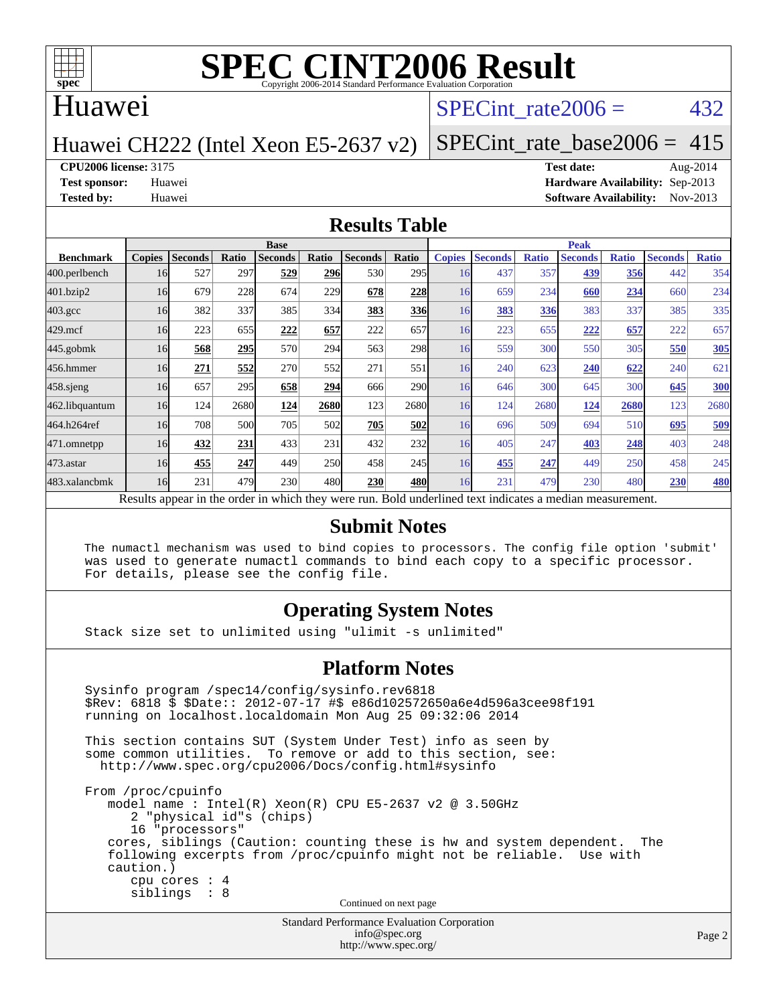

### Huawei

### SPECint rate $2006 = 432$

### Huawei CH222 (Intel Xeon E5-2637 v2)

[SPECint\\_rate\\_base2006 =](http://www.spec.org/auto/cpu2006/Docs/result-fields.html#SPECintratebase2006) 415

### **[CPU2006 license:](http://www.spec.org/auto/cpu2006/Docs/result-fields.html#CPU2006license)** 3175 **[Test date:](http://www.spec.org/auto/cpu2006/Docs/result-fields.html#Testdate)** Aug-2014

**[Test sponsor:](http://www.spec.org/auto/cpu2006/Docs/result-fields.html#Testsponsor)** Huawei **[Hardware Availability:](http://www.spec.org/auto/cpu2006/Docs/result-fields.html#HardwareAvailability)** Sep-2013 **[Tested by:](http://www.spec.org/auto/cpu2006/Docs/result-fields.html#Testedby)** Huawei **[Software Availability:](http://www.spec.org/auto/cpu2006/Docs/result-fields.html#SoftwareAvailability)** Nov-2013

### **[Results Table](http://www.spec.org/auto/cpu2006/Docs/result-fields.html#ResultsTable)**

|                                                                                                          | <b>Base</b>   |                |       |                |            |                | <b>Peak</b>  |               |                |              |                |              |                |              |
|----------------------------------------------------------------------------------------------------------|---------------|----------------|-------|----------------|------------|----------------|--------------|---------------|----------------|--------------|----------------|--------------|----------------|--------------|
| <b>Benchmark</b>                                                                                         | <b>Copies</b> | <b>Seconds</b> | Ratio | <b>Seconds</b> | Ratio      | <b>Seconds</b> | <b>Ratio</b> | <b>Copies</b> | <b>Seconds</b> | <b>Ratio</b> | <b>Seconds</b> | <b>Ratio</b> | <b>Seconds</b> | <b>Ratio</b> |
| 400.perlbench                                                                                            | 16            | 527            | 297   | 529            | <b>296</b> | 530            | 295          | 16            | 437            | 357          | 439            | 356          | 442            | 354          |
| 401.bzip2                                                                                                | 16            | 679            | 228   | 674            | 229        | 678            | 228          | 16            | 659            | 234          | 660            | 234          | 660            | 234          |
| $403.\mathrm{gcc}$                                                                                       | 16            | 382            | 337   | 385            | 334        | 383            | 336          | 16            | 383            | 336          | 383            | 337          | 385            | 335          |
| $429$ .mcf                                                                                               | 16            | 223            | 655   | 222            | 657        | 222            | 657          | 16            | 223            | 655          | 222            | 657          | 222            | 657          |
| $445$ .gobmk                                                                                             | 16            | 568            | 295   | 570            | 294        | 563            | 298          | 16            | 559            | 300          | 550            | 305          | 550            | 305          |
| 456.hmmer                                                                                                | 16            | 271            | 552   | 270            | 552        | 271            | 551          | 16            | 240            | 623          | 240            | 622          | 240            | 621          |
| $458$ .sjeng                                                                                             | 16            | 657            | 295   | 658            | 294        | 666            | 290          | 16            | 646            | 300          | 645            | 300          | 645            | 300          |
| 462.libquantum                                                                                           | 16            | 124            | 2680  | 124            | 2680       | 123            | 2680         | 16            | 124            | 2680         | 124            | 2680         | 123            | 2680         |
| 464.h264ref                                                                                              | 16            | 708            | 500   | 705            | 502        | 705            | 502          | 16            | 696            | 509          | 694            | 510          | 695            | 509          |
| 471.omnetpp                                                                                              | 16            | 432            | 231   | 433            | 231        | 432            | 232          | 16            | 405            | 247          | 403            | 248          | 403            | 248          |
| $473$ . astar                                                                                            | 16            | 455            | 247   | 449            | <b>250</b> | 458            | 245          | 16            | 455            | 247          | 449            | 250          | 458            | 245          |
| 483.xalancbmk                                                                                            | 16            | 231            | 479   | 230            | 480        | 230            | 480          | 16            | 231            | 479          | 230            | 480          | 230            | <b>480</b>   |
| Results appear in the order in which they were run. Bold underlined text indicates a median measurement. |               |                |       |                |            |                |              |               |                |              |                |              |                |              |

### **[Submit Notes](http://www.spec.org/auto/cpu2006/Docs/result-fields.html#SubmitNotes)**

 The numactl mechanism was used to bind copies to processors. The config file option 'submit' was used to generate numactl commands to bind each copy to a specific processor. For details, please see the config file.

### **[Operating System Notes](http://www.spec.org/auto/cpu2006/Docs/result-fields.html#OperatingSystemNotes)**

Stack size set to unlimited using "ulimit -s unlimited"

### **[Platform Notes](http://www.spec.org/auto/cpu2006/Docs/result-fields.html#PlatformNotes)**

```
Standard Performance Evaluation Corporation
 Sysinfo program /spec14/config/sysinfo.rev6818
 $Rev: 6818 $ $Date:: 2012-07-17 #$ e86d102572650a6e4d596a3cee98f191
 running on localhost.localdomain Mon Aug 25 09:32:06 2014
 This section contains SUT (System Under Test) info as seen by
some common utilities. To remove or add to this section, see:
  http://www.spec.org/cpu2006/Docs/config.html#sysinfo
 From /proc/cpuinfo
    model name : Intel(R) Xeon(R) CPU E5-2637 v2 @ 3.50GHz
       2 "physical id"s (chips)
       16 "processors"
    cores, siblings (Caution: counting these is hw and system dependent. The
    following excerpts from /proc/cpuinfo might not be reliable. Use with
    caution.)
       cpu cores : 4
       siblings : 8
                                   Continued on next page
```
[info@spec.org](mailto:info@spec.org) <http://www.spec.org/>

Page 2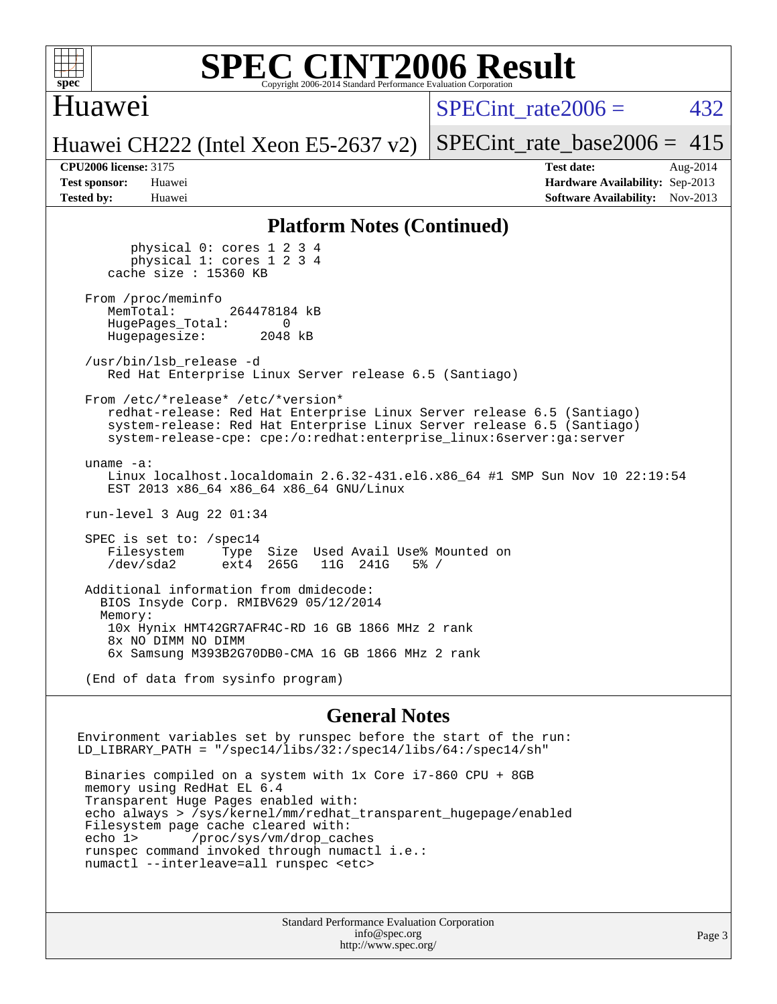

### Huawei

SPECint rate $2006 = 432$ 

Huawei CH222 (Intel Xeon E5-2637 v2) [SPECint\\_rate\\_base2006 =](http://www.spec.org/auto/cpu2006/Docs/result-fields.html#SPECintratebase2006)  $415$ 

**[CPU2006 license:](http://www.spec.org/auto/cpu2006/Docs/result-fields.html#CPU2006license)** 3175 **[Test date:](http://www.spec.org/auto/cpu2006/Docs/result-fields.html#Testdate)** Aug-2014 **[Test sponsor:](http://www.spec.org/auto/cpu2006/Docs/result-fields.html#Testsponsor)** Huawei **[Hardware Availability:](http://www.spec.org/auto/cpu2006/Docs/result-fields.html#HardwareAvailability)** Sep-2013 **[Tested by:](http://www.spec.org/auto/cpu2006/Docs/result-fields.html#Testedby)** Huawei **[Software Availability:](http://www.spec.org/auto/cpu2006/Docs/result-fields.html#SoftwareAvailability)** Nov-2013

### **[Platform Notes \(Continued\)](http://www.spec.org/auto/cpu2006/Docs/result-fields.html#PlatformNotes)**

 physical 0: cores 1 2 3 4 physical 1: cores 1 2 3 4 cache size : 15360 KB From /proc/meminfo<br>MemTotal: 264478184 kB HugePages\_Total: 0<br>Hugepagesize: 2048 kB Hugepagesize: /usr/bin/lsb\_release -d Red Hat Enterprise Linux Server release 6.5 (Santiago) From /etc/\*release\* /etc/\*version\* redhat-release: Red Hat Enterprise Linux Server release 6.5 (Santiago) system-release: Red Hat Enterprise Linux Server release 6.5 (Santiago) system-release-cpe: cpe:/o:redhat:enterprise\_linux:6server:ga:server uname -a: Linux localhost.localdomain 2.6.32-431.el6.x86\_64 #1 SMP Sun Nov 10 22:19:54 EST 2013 x86\_64 x86\_64 x86\_64 GNU/Linux run-level 3 Aug 22 01:34 SPEC is set to: /spec14 Filesystem Type Size Used Avail Use% Mounted on<br>
/dev/sda2 ext4 265G 11G 241G 5% / ext4 265G Additional information from dmidecode: BIOS Insyde Corp. RMIBV629 05/12/2014 Memory: 10x Hynix HMT42GR7AFR4C-RD 16 GB 1866 MHz 2 rank 8x NO DIMM NO DIMM 6x Samsung M393B2G70DB0-CMA 16 GB 1866 MHz 2 rank (End of data from sysinfo program)

### **[General Notes](http://www.spec.org/auto/cpu2006/Docs/result-fields.html#GeneralNotes)**

Environment variables set by runspec before the start of the run: LD\_LIBRARY\_PATH = "/spec14/libs/32:/spec14/libs/64:/spec14/sh"

 Binaries compiled on a system with 1x Core i7-860 CPU + 8GB memory using RedHat EL 6.4 Transparent Huge Pages enabled with: echo always > /sys/kernel/mm/redhat\_transparent\_hugepage/enabled Filesystem page cache cleared with: echo 1> /proc/sys/vm/drop\_caches runspec command invoked through numactl i.e.: numactl --interleave=all runspec <etc>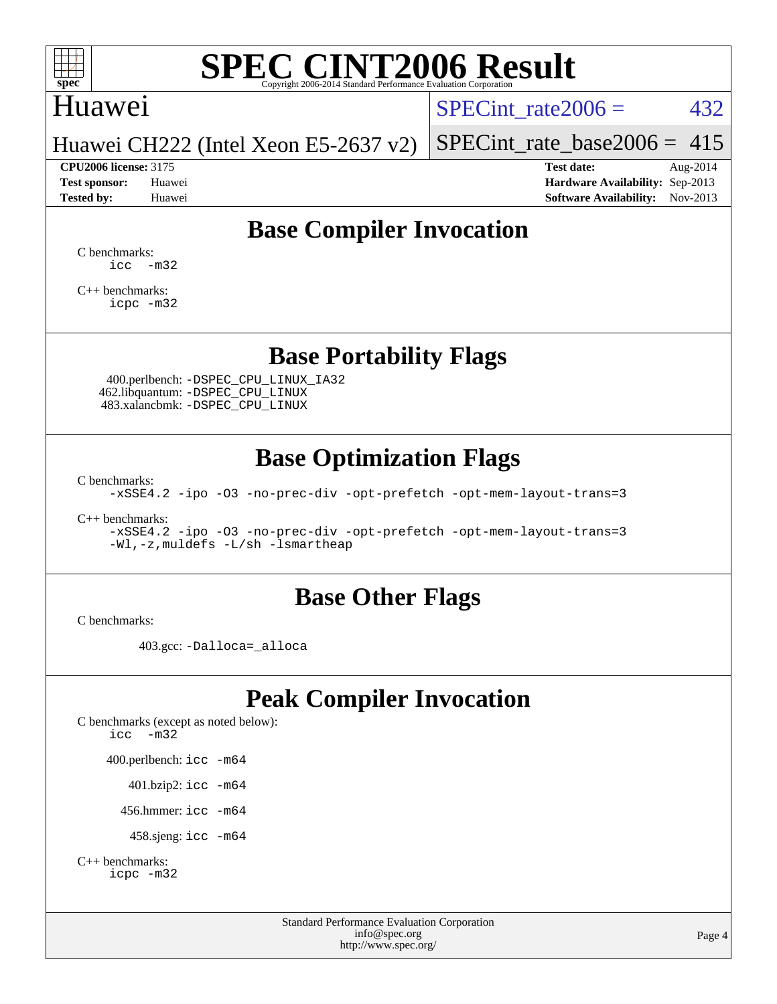

## Huawei

SPECint rate $2006 = 432$ 

Huawei CH222 (Intel Xeon E5-2637 v2)

[SPECint\\_rate\\_base2006 =](http://www.spec.org/auto/cpu2006/Docs/result-fields.html#SPECintratebase2006) 415

**[CPU2006 license:](http://www.spec.org/auto/cpu2006/Docs/result-fields.html#CPU2006license)** 3175 **[Test date:](http://www.spec.org/auto/cpu2006/Docs/result-fields.html#Testdate)** Aug-2014 **[Test sponsor:](http://www.spec.org/auto/cpu2006/Docs/result-fields.html#Testsponsor)** Huawei **[Hardware Availability:](http://www.spec.org/auto/cpu2006/Docs/result-fields.html#HardwareAvailability)** Sep-2013 **[Tested by:](http://www.spec.org/auto/cpu2006/Docs/result-fields.html#Testedby)** Huawei **[Software Availability:](http://www.spec.org/auto/cpu2006/Docs/result-fields.html#SoftwareAvailability)** Nov-2013

## **[Base Compiler Invocation](http://www.spec.org/auto/cpu2006/Docs/result-fields.html#BaseCompilerInvocation)**

[C benchmarks](http://www.spec.org/auto/cpu2006/Docs/result-fields.html#Cbenchmarks):  $\text{icc}$   $-\text{m32}$ 

[C++ benchmarks:](http://www.spec.org/auto/cpu2006/Docs/result-fields.html#CXXbenchmarks) [icpc -m32](http://www.spec.org/cpu2006/results/res2014q3/cpu2006-20140826-31071.flags.html#user_CXXbase_intel_icpc_4e5a5ef1a53fd332b3c49e69c3330699)

### **[Base Portability Flags](http://www.spec.org/auto/cpu2006/Docs/result-fields.html#BasePortabilityFlags)**

 400.perlbench: [-DSPEC\\_CPU\\_LINUX\\_IA32](http://www.spec.org/cpu2006/results/res2014q3/cpu2006-20140826-31071.flags.html#b400.perlbench_baseCPORTABILITY_DSPEC_CPU_LINUX_IA32) 462.libquantum: [-DSPEC\\_CPU\\_LINUX](http://www.spec.org/cpu2006/results/res2014q3/cpu2006-20140826-31071.flags.html#b462.libquantum_baseCPORTABILITY_DSPEC_CPU_LINUX) 483.xalancbmk: [-DSPEC\\_CPU\\_LINUX](http://www.spec.org/cpu2006/results/res2014q3/cpu2006-20140826-31071.flags.html#b483.xalancbmk_baseCXXPORTABILITY_DSPEC_CPU_LINUX)

## **[Base Optimization Flags](http://www.spec.org/auto/cpu2006/Docs/result-fields.html#BaseOptimizationFlags)**

[C benchmarks](http://www.spec.org/auto/cpu2006/Docs/result-fields.html#Cbenchmarks):

[-xSSE4.2](http://www.spec.org/cpu2006/results/res2014q3/cpu2006-20140826-31071.flags.html#user_CCbase_f-xSSE42_f91528193cf0b216347adb8b939d4107) [-ipo](http://www.spec.org/cpu2006/results/res2014q3/cpu2006-20140826-31071.flags.html#user_CCbase_f-ipo) [-O3](http://www.spec.org/cpu2006/results/res2014q3/cpu2006-20140826-31071.flags.html#user_CCbase_f-O3) [-no-prec-div](http://www.spec.org/cpu2006/results/res2014q3/cpu2006-20140826-31071.flags.html#user_CCbase_f-no-prec-div) [-opt-prefetch](http://www.spec.org/cpu2006/results/res2014q3/cpu2006-20140826-31071.flags.html#user_CCbase_f-opt-prefetch) [-opt-mem-layout-trans=3](http://www.spec.org/cpu2006/results/res2014q3/cpu2006-20140826-31071.flags.html#user_CCbase_f-opt-mem-layout-trans_a7b82ad4bd7abf52556d4961a2ae94d5)

[C++ benchmarks:](http://www.spec.org/auto/cpu2006/Docs/result-fields.html#CXXbenchmarks)

[-xSSE4.2](http://www.spec.org/cpu2006/results/res2014q3/cpu2006-20140826-31071.flags.html#user_CXXbase_f-xSSE42_f91528193cf0b216347adb8b939d4107) [-ipo](http://www.spec.org/cpu2006/results/res2014q3/cpu2006-20140826-31071.flags.html#user_CXXbase_f-ipo) [-O3](http://www.spec.org/cpu2006/results/res2014q3/cpu2006-20140826-31071.flags.html#user_CXXbase_f-O3) [-no-prec-div](http://www.spec.org/cpu2006/results/res2014q3/cpu2006-20140826-31071.flags.html#user_CXXbase_f-no-prec-div) [-opt-prefetch](http://www.spec.org/cpu2006/results/res2014q3/cpu2006-20140826-31071.flags.html#user_CXXbase_f-opt-prefetch) [-opt-mem-layout-trans=3](http://www.spec.org/cpu2006/results/res2014q3/cpu2006-20140826-31071.flags.html#user_CXXbase_f-opt-mem-layout-trans_a7b82ad4bd7abf52556d4961a2ae94d5) [-Wl,-z,muldefs](http://www.spec.org/cpu2006/results/res2014q3/cpu2006-20140826-31071.flags.html#user_CXXbase_link_force_multiple1_74079c344b956b9658436fd1b6dd3a8a) [-L/sh -lsmartheap](http://www.spec.org/cpu2006/results/res2014q3/cpu2006-20140826-31071.flags.html#user_CXXbase_SmartHeap_32f6c82aa1ed9c52345d30cf6e4a0499)

### **[Base Other Flags](http://www.spec.org/auto/cpu2006/Docs/result-fields.html#BaseOtherFlags)**

[C benchmarks](http://www.spec.org/auto/cpu2006/Docs/result-fields.html#Cbenchmarks):

403.gcc: [-Dalloca=\\_alloca](http://www.spec.org/cpu2006/results/res2014q3/cpu2006-20140826-31071.flags.html#b403.gcc_baseEXTRA_CFLAGS_Dalloca_be3056838c12de2578596ca5467af7f3)

## **[Peak Compiler Invocation](http://www.spec.org/auto/cpu2006/Docs/result-fields.html#PeakCompilerInvocation)**

[C benchmarks \(except as noted below\)](http://www.spec.org/auto/cpu2006/Docs/result-fields.html#Cbenchmarksexceptasnotedbelow): [icc -m32](http://www.spec.org/cpu2006/results/res2014q3/cpu2006-20140826-31071.flags.html#user_CCpeak_intel_icc_5ff4a39e364c98233615fdd38438c6f2) 400.perlbench: [icc -m64](http://www.spec.org/cpu2006/results/res2014q3/cpu2006-20140826-31071.flags.html#user_peakCCLD400_perlbench_intel_icc_64bit_bda6cc9af1fdbb0edc3795bac97ada53) 401.bzip2: [icc -m64](http://www.spec.org/cpu2006/results/res2014q3/cpu2006-20140826-31071.flags.html#user_peakCCLD401_bzip2_intel_icc_64bit_bda6cc9af1fdbb0edc3795bac97ada53)

456.hmmer: [icc -m64](http://www.spec.org/cpu2006/results/res2014q3/cpu2006-20140826-31071.flags.html#user_peakCCLD456_hmmer_intel_icc_64bit_bda6cc9af1fdbb0edc3795bac97ada53)

458.sjeng: [icc -m64](http://www.spec.org/cpu2006/results/res2014q3/cpu2006-20140826-31071.flags.html#user_peakCCLD458_sjeng_intel_icc_64bit_bda6cc9af1fdbb0edc3795bac97ada53)

```
C++ benchmarks: 
    icpc -m32
```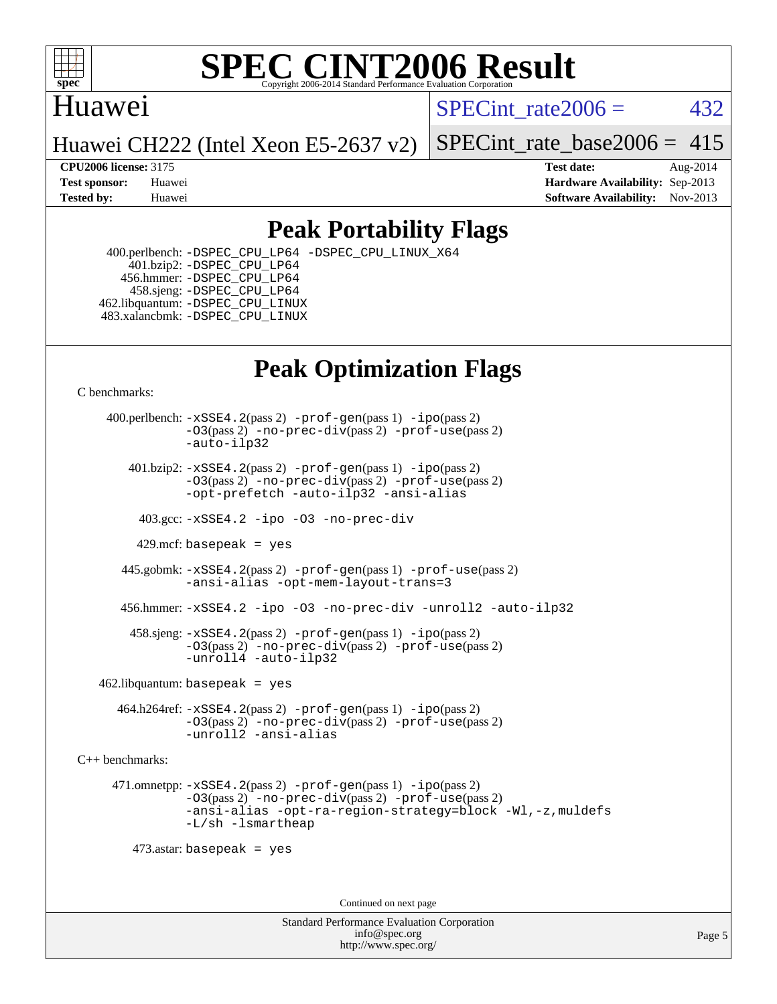

### Huawei

SPECint rate $2006 = 432$ 

Huawei CH222 (Intel Xeon E5-2637 v2)

[SPECint\\_rate\\_base2006 =](http://www.spec.org/auto/cpu2006/Docs/result-fields.html#SPECintratebase2006)  $415$ 

**[CPU2006 license:](http://www.spec.org/auto/cpu2006/Docs/result-fields.html#CPU2006license)** 3175 **[Test date:](http://www.spec.org/auto/cpu2006/Docs/result-fields.html#Testdate)** Aug-2014 **[Test sponsor:](http://www.spec.org/auto/cpu2006/Docs/result-fields.html#Testsponsor)** Huawei **[Hardware Availability:](http://www.spec.org/auto/cpu2006/Docs/result-fields.html#HardwareAvailability)** Sep-2013 **[Tested by:](http://www.spec.org/auto/cpu2006/Docs/result-fields.html#Testedby)** Huawei **[Software Availability:](http://www.spec.org/auto/cpu2006/Docs/result-fields.html#SoftwareAvailability)** Nov-2013

## **[Peak Portability Flags](http://www.spec.org/auto/cpu2006/Docs/result-fields.html#PeakPortabilityFlags)**

 400.perlbench: [-DSPEC\\_CPU\\_LP64](http://www.spec.org/cpu2006/results/res2014q3/cpu2006-20140826-31071.flags.html#b400.perlbench_peakCPORTABILITY_DSPEC_CPU_LP64) [-DSPEC\\_CPU\\_LINUX\\_X64](http://www.spec.org/cpu2006/results/res2014q3/cpu2006-20140826-31071.flags.html#b400.perlbench_peakCPORTABILITY_DSPEC_CPU_LINUX_X64) 401.bzip2: [-DSPEC\\_CPU\\_LP64](http://www.spec.org/cpu2006/results/res2014q3/cpu2006-20140826-31071.flags.html#suite_peakCPORTABILITY401_bzip2_DSPEC_CPU_LP64) 456.hmmer: [-DSPEC\\_CPU\\_LP64](http://www.spec.org/cpu2006/results/res2014q3/cpu2006-20140826-31071.flags.html#suite_peakCPORTABILITY456_hmmer_DSPEC_CPU_LP64) 458.sjeng: [-DSPEC\\_CPU\\_LP64](http://www.spec.org/cpu2006/results/res2014q3/cpu2006-20140826-31071.flags.html#suite_peakCPORTABILITY458_sjeng_DSPEC_CPU_LP64) 462.libquantum: [-DSPEC\\_CPU\\_LINUX](http://www.spec.org/cpu2006/results/res2014q3/cpu2006-20140826-31071.flags.html#b462.libquantum_peakCPORTABILITY_DSPEC_CPU_LINUX) 483.xalancbmk: [-DSPEC\\_CPU\\_LINUX](http://www.spec.org/cpu2006/results/res2014q3/cpu2006-20140826-31071.flags.html#b483.xalancbmk_peakCXXPORTABILITY_DSPEC_CPU_LINUX)

# **[Peak Optimization Flags](http://www.spec.org/auto/cpu2006/Docs/result-fields.html#PeakOptimizationFlags)**

[C benchmarks](http://www.spec.org/auto/cpu2006/Docs/result-fields.html#Cbenchmarks):

 400.perlbench: [-xSSE4.2](http://www.spec.org/cpu2006/results/res2014q3/cpu2006-20140826-31071.flags.html#user_peakPASS2_CFLAGSPASS2_LDCFLAGS400_perlbench_f-xSSE42_f91528193cf0b216347adb8b939d4107)(pass 2) [-prof-gen](http://www.spec.org/cpu2006/results/res2014q3/cpu2006-20140826-31071.flags.html#user_peakPASS1_CFLAGSPASS1_LDCFLAGS400_perlbench_prof_gen_e43856698f6ca7b7e442dfd80e94a8fc)(pass 1) [-ipo](http://www.spec.org/cpu2006/results/res2014q3/cpu2006-20140826-31071.flags.html#user_peakPASS2_CFLAGSPASS2_LDCFLAGS400_perlbench_f-ipo)(pass 2) [-O3](http://www.spec.org/cpu2006/results/res2014q3/cpu2006-20140826-31071.flags.html#user_peakPASS2_CFLAGSPASS2_LDCFLAGS400_perlbench_f-O3)(pass 2) [-no-prec-div](http://www.spec.org/cpu2006/results/res2014q3/cpu2006-20140826-31071.flags.html#user_peakPASS2_CFLAGSPASS2_LDCFLAGS400_perlbench_f-no-prec-div)(pass 2) [-prof-use](http://www.spec.org/cpu2006/results/res2014q3/cpu2006-20140826-31071.flags.html#user_peakPASS2_CFLAGSPASS2_LDCFLAGS400_perlbench_prof_use_bccf7792157ff70d64e32fe3e1250b55)(pass 2) [-auto-ilp32](http://www.spec.org/cpu2006/results/res2014q3/cpu2006-20140826-31071.flags.html#user_peakCOPTIMIZE400_perlbench_f-auto-ilp32)  $401.bzip2: -xSSE4.2(pass 2) -prof-qen(pass 1) -ipo(pass 2)$  $401.bzip2: -xSSE4.2(pass 2) -prof-qen(pass 1) -ipo(pass 2)$  $401.bzip2: -xSSE4.2(pass 2) -prof-qen(pass 1) -ipo(pass 2)$  $401.bzip2: -xSSE4.2(pass 2) -prof-qen(pass 1) -ipo(pass 2)$  $401.bzip2: -xSSE4.2(pass 2) -prof-qen(pass 1) -ipo(pass 2)$ [-O3](http://www.spec.org/cpu2006/results/res2014q3/cpu2006-20140826-31071.flags.html#user_peakPASS2_CFLAGSPASS2_LDCFLAGS401_bzip2_f-O3)(pass 2) [-no-prec-div](http://www.spec.org/cpu2006/results/res2014q3/cpu2006-20140826-31071.flags.html#user_peakPASS2_CFLAGSPASS2_LDCFLAGS401_bzip2_f-no-prec-div)(pass 2) [-prof-use](http://www.spec.org/cpu2006/results/res2014q3/cpu2006-20140826-31071.flags.html#user_peakPASS2_CFLAGSPASS2_LDCFLAGS401_bzip2_prof_use_bccf7792157ff70d64e32fe3e1250b55)(pass 2) [-opt-prefetch](http://www.spec.org/cpu2006/results/res2014q3/cpu2006-20140826-31071.flags.html#user_peakCOPTIMIZE401_bzip2_f-opt-prefetch) [-auto-ilp32](http://www.spec.org/cpu2006/results/res2014q3/cpu2006-20140826-31071.flags.html#user_peakCOPTIMIZE401_bzip2_f-auto-ilp32) [-ansi-alias](http://www.spec.org/cpu2006/results/res2014q3/cpu2006-20140826-31071.flags.html#user_peakCOPTIMIZE401_bzip2_f-ansi-alias) 403.gcc: [-xSSE4.2](http://www.spec.org/cpu2006/results/res2014q3/cpu2006-20140826-31071.flags.html#user_peakCOPTIMIZE403_gcc_f-xSSE42_f91528193cf0b216347adb8b939d4107) [-ipo](http://www.spec.org/cpu2006/results/res2014q3/cpu2006-20140826-31071.flags.html#user_peakCOPTIMIZE403_gcc_f-ipo) [-O3](http://www.spec.org/cpu2006/results/res2014q3/cpu2006-20140826-31071.flags.html#user_peakCOPTIMIZE403_gcc_f-O3) [-no-prec-div](http://www.spec.org/cpu2006/results/res2014q3/cpu2006-20140826-31071.flags.html#user_peakCOPTIMIZE403_gcc_f-no-prec-div) 429.mcf: basepeak = yes 445.gobmk: [-xSSE4.2](http://www.spec.org/cpu2006/results/res2014q3/cpu2006-20140826-31071.flags.html#user_peakPASS2_CFLAGSPASS2_LDCFLAGS445_gobmk_f-xSSE42_f91528193cf0b216347adb8b939d4107)(pass 2) [-prof-gen](http://www.spec.org/cpu2006/results/res2014q3/cpu2006-20140826-31071.flags.html#user_peakPASS1_CFLAGSPASS1_LDCFLAGS445_gobmk_prof_gen_e43856698f6ca7b7e442dfd80e94a8fc)(pass 1) [-prof-use](http://www.spec.org/cpu2006/results/res2014q3/cpu2006-20140826-31071.flags.html#user_peakPASS2_CFLAGSPASS2_LDCFLAGS445_gobmk_prof_use_bccf7792157ff70d64e32fe3e1250b55)(pass 2) [-ansi-alias](http://www.spec.org/cpu2006/results/res2014q3/cpu2006-20140826-31071.flags.html#user_peakCOPTIMIZE445_gobmk_f-ansi-alias) [-opt-mem-layout-trans=3](http://www.spec.org/cpu2006/results/res2014q3/cpu2006-20140826-31071.flags.html#user_peakCOPTIMIZE445_gobmk_f-opt-mem-layout-trans_a7b82ad4bd7abf52556d4961a2ae94d5) 456.hmmer: [-xSSE4.2](http://www.spec.org/cpu2006/results/res2014q3/cpu2006-20140826-31071.flags.html#user_peakCOPTIMIZE456_hmmer_f-xSSE42_f91528193cf0b216347adb8b939d4107) [-ipo](http://www.spec.org/cpu2006/results/res2014q3/cpu2006-20140826-31071.flags.html#user_peakCOPTIMIZE456_hmmer_f-ipo) [-O3](http://www.spec.org/cpu2006/results/res2014q3/cpu2006-20140826-31071.flags.html#user_peakCOPTIMIZE456_hmmer_f-O3) [-no-prec-div](http://www.spec.org/cpu2006/results/res2014q3/cpu2006-20140826-31071.flags.html#user_peakCOPTIMIZE456_hmmer_f-no-prec-div) [-unroll2](http://www.spec.org/cpu2006/results/res2014q3/cpu2006-20140826-31071.flags.html#user_peakCOPTIMIZE456_hmmer_f-unroll_784dae83bebfb236979b41d2422d7ec2) [-auto-ilp32](http://www.spec.org/cpu2006/results/res2014q3/cpu2006-20140826-31071.flags.html#user_peakCOPTIMIZE456_hmmer_f-auto-ilp32) 458.sjeng: [-xSSE4.2](http://www.spec.org/cpu2006/results/res2014q3/cpu2006-20140826-31071.flags.html#user_peakPASS2_CFLAGSPASS2_LDCFLAGS458_sjeng_f-xSSE42_f91528193cf0b216347adb8b939d4107)(pass 2) [-prof-gen](http://www.spec.org/cpu2006/results/res2014q3/cpu2006-20140826-31071.flags.html#user_peakPASS1_CFLAGSPASS1_LDCFLAGS458_sjeng_prof_gen_e43856698f6ca7b7e442dfd80e94a8fc)(pass 1) [-ipo](http://www.spec.org/cpu2006/results/res2014q3/cpu2006-20140826-31071.flags.html#user_peakPASS2_CFLAGSPASS2_LDCFLAGS458_sjeng_f-ipo)(pass 2) [-O3](http://www.spec.org/cpu2006/results/res2014q3/cpu2006-20140826-31071.flags.html#user_peakPASS2_CFLAGSPASS2_LDCFLAGS458_sjeng_f-O3)(pass 2) [-no-prec-div](http://www.spec.org/cpu2006/results/res2014q3/cpu2006-20140826-31071.flags.html#user_peakPASS2_CFLAGSPASS2_LDCFLAGS458_sjeng_f-no-prec-div)(pass 2) [-prof-use](http://www.spec.org/cpu2006/results/res2014q3/cpu2006-20140826-31071.flags.html#user_peakPASS2_CFLAGSPASS2_LDCFLAGS458_sjeng_prof_use_bccf7792157ff70d64e32fe3e1250b55)(pass 2) [-unroll4](http://www.spec.org/cpu2006/results/res2014q3/cpu2006-20140826-31071.flags.html#user_peakCOPTIMIZE458_sjeng_f-unroll_4e5e4ed65b7fd20bdcd365bec371b81f) [-auto-ilp32](http://www.spec.org/cpu2006/results/res2014q3/cpu2006-20140826-31071.flags.html#user_peakCOPTIMIZE458_sjeng_f-auto-ilp32)  $462$ .libquantum: basepeak = yes 464.h264ref: [-xSSE4.2](http://www.spec.org/cpu2006/results/res2014q3/cpu2006-20140826-31071.flags.html#user_peakPASS2_CFLAGSPASS2_LDCFLAGS464_h264ref_f-xSSE42_f91528193cf0b216347adb8b939d4107)(pass 2) [-prof-gen](http://www.spec.org/cpu2006/results/res2014q3/cpu2006-20140826-31071.flags.html#user_peakPASS1_CFLAGSPASS1_LDCFLAGS464_h264ref_prof_gen_e43856698f6ca7b7e442dfd80e94a8fc)(pass 1) [-ipo](http://www.spec.org/cpu2006/results/res2014q3/cpu2006-20140826-31071.flags.html#user_peakPASS2_CFLAGSPASS2_LDCFLAGS464_h264ref_f-ipo)(pass 2) [-O3](http://www.spec.org/cpu2006/results/res2014q3/cpu2006-20140826-31071.flags.html#user_peakPASS2_CFLAGSPASS2_LDCFLAGS464_h264ref_f-O3)(pass 2) [-no-prec-div](http://www.spec.org/cpu2006/results/res2014q3/cpu2006-20140826-31071.flags.html#user_peakPASS2_CFLAGSPASS2_LDCFLAGS464_h264ref_f-no-prec-div)(pass 2) [-prof-use](http://www.spec.org/cpu2006/results/res2014q3/cpu2006-20140826-31071.flags.html#user_peakPASS2_CFLAGSPASS2_LDCFLAGS464_h264ref_prof_use_bccf7792157ff70d64e32fe3e1250b55)(pass 2) [-unroll2](http://www.spec.org/cpu2006/results/res2014q3/cpu2006-20140826-31071.flags.html#user_peakCOPTIMIZE464_h264ref_f-unroll_784dae83bebfb236979b41d2422d7ec2) [-ansi-alias](http://www.spec.org/cpu2006/results/res2014q3/cpu2006-20140826-31071.flags.html#user_peakCOPTIMIZE464_h264ref_f-ansi-alias) [C++ benchmarks:](http://www.spec.org/auto/cpu2006/Docs/result-fields.html#CXXbenchmarks) 471.omnetpp: [-xSSE4.2](http://www.spec.org/cpu2006/results/res2014q3/cpu2006-20140826-31071.flags.html#user_peakPASS2_CXXFLAGSPASS2_LDCXXFLAGS471_omnetpp_f-xSSE42_f91528193cf0b216347adb8b939d4107)(pass 2) [-prof-gen](http://www.spec.org/cpu2006/results/res2014q3/cpu2006-20140826-31071.flags.html#user_peakPASS1_CXXFLAGSPASS1_LDCXXFLAGS471_omnetpp_prof_gen_e43856698f6ca7b7e442dfd80e94a8fc)(pass 1) [-ipo](http://www.spec.org/cpu2006/results/res2014q3/cpu2006-20140826-31071.flags.html#user_peakPASS2_CXXFLAGSPASS2_LDCXXFLAGS471_omnetpp_f-ipo)(pass 2) [-O3](http://www.spec.org/cpu2006/results/res2014q3/cpu2006-20140826-31071.flags.html#user_peakPASS2_CXXFLAGSPASS2_LDCXXFLAGS471_omnetpp_f-O3)(pass 2) [-no-prec-div](http://www.spec.org/cpu2006/results/res2014q3/cpu2006-20140826-31071.flags.html#user_peakPASS2_CXXFLAGSPASS2_LDCXXFLAGS471_omnetpp_f-no-prec-div)(pass 2) [-prof-use](http://www.spec.org/cpu2006/results/res2014q3/cpu2006-20140826-31071.flags.html#user_peakPASS2_CXXFLAGSPASS2_LDCXXFLAGS471_omnetpp_prof_use_bccf7792157ff70d64e32fe3e1250b55)(pass 2) [-ansi-alias](http://www.spec.org/cpu2006/results/res2014q3/cpu2006-20140826-31071.flags.html#user_peakCXXOPTIMIZE471_omnetpp_f-ansi-alias) [-opt-ra-region-strategy=block](http://www.spec.org/cpu2006/results/res2014q3/cpu2006-20140826-31071.flags.html#user_peakCXXOPTIMIZE471_omnetpp_f-opt-ra-region-strategy_a0a37c372d03933b2a18d4af463c1f69) [-Wl,-z,muldefs](http://www.spec.org/cpu2006/results/res2014q3/cpu2006-20140826-31071.flags.html#user_peakEXTRA_LDFLAGS471_omnetpp_link_force_multiple1_74079c344b956b9658436fd1b6dd3a8a) [-L/sh -lsmartheap](http://www.spec.org/cpu2006/results/res2014q3/cpu2006-20140826-31071.flags.html#user_peakEXTRA_LIBS471_omnetpp_SmartHeap_32f6c82aa1ed9c52345d30cf6e4a0499) 473.astar: basepeak = yes Continued on next page